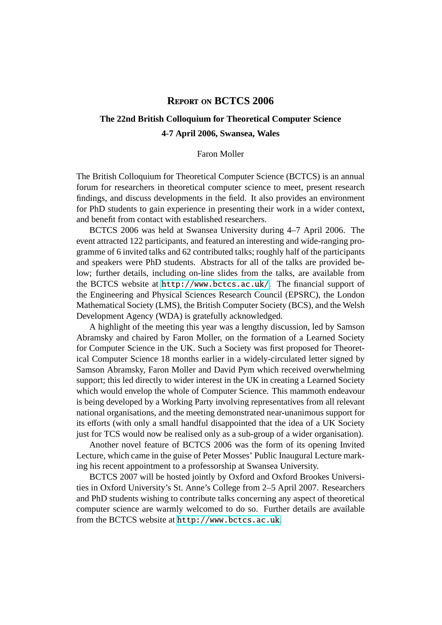## **REPORT ON BCTCS 2006**

# **The 22nd British Colloquium for Theoretical Computer Science 4-7 April 2006, Swansea, Wales**

#### Faron Moller

The British Colloquium for Theoretical Computer Science (BCTCS) is an annual forum for researchers in theoretical computer science to meet, present research findings, and discuss developments in the field. It also provides an environment for PhD students to gain experience in presenting their work in a wider context, and benefit from contact with established researchers.

BCTCS 2006 was held at Swansea University during 4–7 April 2006. The event attracted 122 participants, and featured an interesting and wide-ranging programme of 6 invited talks and 62 contributed talks; roughly half of the participants and speakers were PhD students. Abstracts for all of the talks are provided below; further details, including on-line slides from the talks, are available from the BCTCS website at <http://www.bctcs.ac.uk/>. The financial support of the Engineering and Physical Sciences Research Council (EPSRC), the London Mathematical Society (LMS), the British Computer Society (BCS), and the Welsh Development Agency (WDA) is gratefully acknowledged.

A highlight of the meeting this year was a lengthy discussion, led by Samson Abramsky and chaired by Faron Moller, on the formation of a Learned Society for Computer Science in the UK. Such a Society was first proposed for Theoretical Computer Science 18 months earlier in a widely-circulated letter signed by Samson Abramsky, Faron Moller and David Pym which received overwhelming support; this led directly to wider interest in the UK in creating a Learned Society which would envelop the whole of Computer Science. This mammoth endeavour is being developed by a Working Party involving representatives from all relevant national organisations, and the meeting demonstrated near-unanimous support for its efforts (with only a small handful disappointed that the idea of a UK Society just for TCS would now be realised only as a sub-group of a wider organisation).

Another novel feature of BCTCS 2006 was the form of its opening Invited Lecture, which came in the guise of Peter Mosses' Public Inaugural Lecture marking his recent appointment to a professorship at Swansea University.

BCTCS 2007 will be hosted jointly by Oxford and Oxford Brookes Universities in Oxford University's St. Anne's College from 2–5 April 2007. Researchers and PhD students wishing to contribute talks concerning any aspect of theoretical computer science are warmly welcomed to do so. Further details are available from the BCTCS website at <http://www.bctcs.ac.uk>.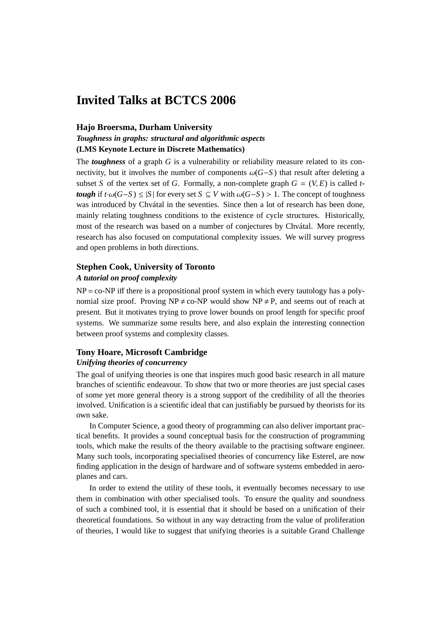# **Invited Talks at BCTCS 2006**

#### **Hajo Broersma, Durham University**

## *Toughness in graphs: structural and algorithmic aspects* **(LMS Keynote Lecture in Discrete Mathematics)**

The *toughness* of a graph *G* is a vulnerability or reliability measure related to its connectivity, but it involves the number of components  $\omega(G-S)$  that result after deleting a subset *S* of the vertex set of *G*. Formally, a non-complete graph  $G = (V, E)$  is called *ttough* if  $t \cdot \omega(G-S) \le |S|$  for every set  $S \subseteq V$  with  $\omega(G-S) > 1$ . The concept of toughness was introduced by Chvátal in the seventies. Since then a lot of research has been done, mainly relating toughness conditions to the existence of cycle structures. Historically, most of the research was based on a number of conjectures by Chvátal. More recently, research has also focused on computational complexity issues. We will survey progress and open problems in both directions.

### **Stephen Cook, University of Toronto**

#### *A tutorial on proof complexity*

 $NP = co-NP$  iff there is a propositional proof system in which every tautology has a polynomial size proof. Proving  $NP \neq co-NP$  would show  $NP \neq P$ , and seems out of reach at present. But it motivates trying to prove lower bounds on proof length for specific proof systems. We summarize some results here, and also explain the interesting connection between proof systems and complexity classes.

### **Tony Hoare, Microsoft Cambridge**

### *Unifying theories of concurrency*

The goal of unifying theories is one that inspires much good basic research in all mature branches of scientific endeavour. To show that two or more theories are just special cases of some yet more general theory is a strong support of the credibility of all the theories involved. Unification is a scientific ideal that can justifiably be pursued by theorists for its own sake.

In Computer Science, a good theory of programming can also deliver important practical benefits. It provides a sound conceptual basis for the construction of programming tools, which make the results of the theory available to the practising software engineer. Many such tools, incorporating specialised theories of concurrency like Esterel, are now finding application in the design of hardware and of software systems embedded in aeroplanes and cars.

In order to extend the utility of these tools, it eventually becomes necessary to use them in combination with other specialised tools. To ensure the quality and soundness of such a combined tool, it is essential that it should be based on a unification of their theoretical foundations. So without in any way detracting from the value of proliferation of theories, I would like to suggest that unifying theories is a suitable Grand Challenge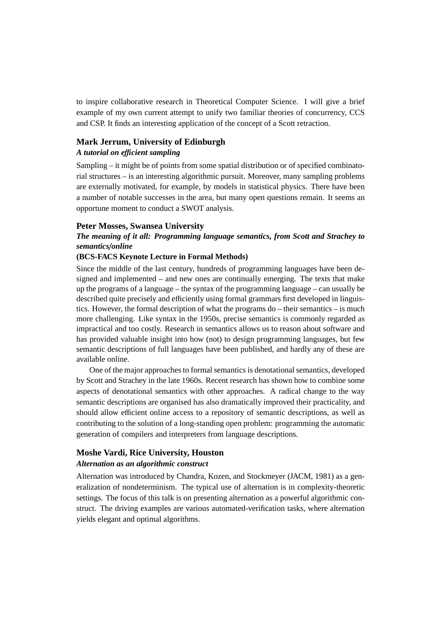to inspire collaborative research in Theoretical Computer Science. I will give a brief example of my own current attempt to unify two familiar theories of concurrency, CCS and CSP. It finds an interesting application of the concept of a Scott retraction.

# **Mark Jerrum, University of Edinburgh**

## *A tutorial on e*ffi*cient sampling*

Sampling – it might be of points from some spatial distribution or of specified combinatorial structures – is an interesting algorithmic pursuit. Moreover, many sampling problems are externally motivated, for example, by models in statistical physics. There have been a number of notable successes in the area, but many open questions remain. It seems an opportune moment to conduct a SWOT analysis.

#### **Peter Mosses, Swansea University**

## *The meaning of it all: Programming language semantics, from Scott and Strachey to semantics*/*online*

#### **(BCS-FACS Keynote Lecture in Formal Methods)**

Since the middle of the last century, hundreds of programming languages have been designed and implemented – and new ones are continually emerging. The texts that make up the programs of a language – the syntax of the programming language – can usually be described quite precisely and efficiently using formal grammars first developed in linguistics. However, the formal description of what the programs do – their semantics – is much more challenging. Like syntax in the 1950s, precise semantics is commonly regarded as impractical and too costly. Research in semantics allows us to reason about software and has provided valuable insight into how (not) to design programming languages, but few semantic descriptions of full languages have been published, and hardly any of these are available online.

One of the major approaches to formal semantics is denotational semantics, developed by Scott and Strachey in the late 1960s. Recent research has shown how to combine some aspects of denotational semantics with other approaches. A radical change to the way semantic descriptions are organised has also dramatically improved their practicality, and should allow efficient online access to a repository of semantic descriptions, as well as contributing to the solution of a long-standing open problem: programming the automatic generation of compilers and interpreters from language descriptions.

#### **Moshe Vardi, Rice University, Houston**

#### *Alternation as an algorithmic construct*

Alternation was introduced by Chandra, Kozen, and Stockmeyer (JACM, 1981) as a generalization of nondeterminism. The typical use of alternation is in complexity-theoretic settings. The focus of this talk is on presenting alternation as a powerful algorithmic construct. The driving examples are various automated-verification tasks, where alternation yields elegant and optimal algorithms.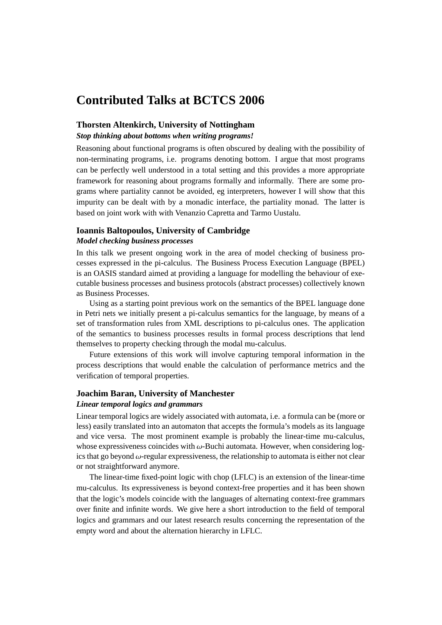# **Contributed Talks at BCTCS 2006**

## **Thorsten Altenkirch, University of Nottingham**

*Stop thinking about bottoms when writing programs!*

Reasoning about functional programs is often obscured by dealing with the possibility of non-terminating programs, i.e. programs denoting bottom. I argue that most programs can be perfectly well understood in a total setting and this provides a more appropriate framework for reasoning about programs formally and informally. There are some programs where partiality cannot be avoided, eg interpreters, however I will show that this impurity can be dealt with by a monadic interface, the partiality monad. The latter is based on joint work with with Venanzio Capretta and Tarmo Uustalu.

#### **Ioannis Baltopoulos, University of Cambridge** *Model checking business processes*

In this talk we present ongoing work in the area of model checking of business processes expressed in the pi-calculus. The Business Process Execution Language (BPEL) is an OASIS standard aimed at providing a language for modelling the behaviour of executable business processes and business protocols (abstract processes) collectively known as Business Processes.

Using as a starting point previous work on the semantics of the BPEL language done in Petri nets we initially present a pi-calculus semantics for the language, by means of a set of transformation rules from XML descriptions to pi-calculus ones. The application of the semantics to business processes results in formal process descriptions that lend themselves to property checking through the modal mu-calculus.

Future extensions of this work will involve capturing temporal information in the process descriptions that would enable the calculation of performance metrics and the verification of temporal properties.

## **Joachim Baran, University of Manchester**

#### *Linear temporal logics and grammars*

Linear temporal logics are widely associated with automata, i.e. a formula can be (more or less) easily translated into an automaton that accepts the formula's models as its language and vice versa. The most prominent example is probably the linear-time mu-calculus, whose expressiveness coincides with  $\omega$ -Buchi automata. However, when considering logics that go beyond  $\omega$ -regular expressiveness, the relationship to automata is either not clear or not straightforward anymore.

The linear-time fixed-point logic with chop (LFLC) is an extension of the linear-time mu-calculus. Its expressiveness is beyond context-free properties and it has been shown that the logic's models coincide with the languages of alternating context-free grammars over finite and infinite words. We give here a short introduction to the field of temporal logics and grammars and our latest research results concerning the representation of the empty word and about the alternation hierarchy in LFLC.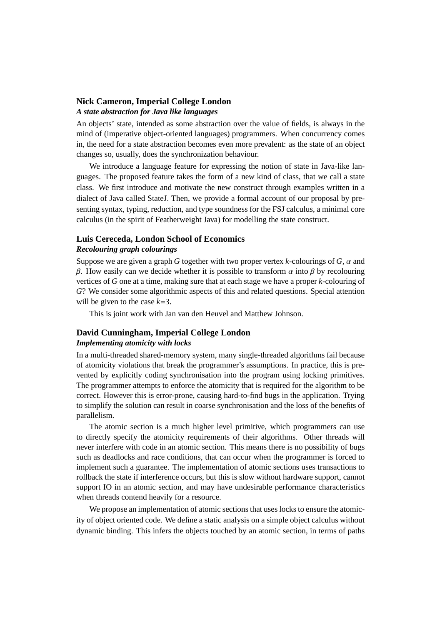## **Nick Cameron, Imperial College London** *A state abstraction for Java like languages*

An objects' state, intended as some abstraction over the value of fields, is always in the mind of (imperative object-oriented languages) programmers. When concurrency comes in, the need for a state abstraction becomes even more prevalent: as the state of an object changes so, usually, does the synchronization behaviour.

We introduce a language feature for expressing the notion of state in Java-like languages. The proposed feature takes the form of a new kind of class, that we call a state class. We first introduce and motivate the new construct through examples written in a dialect of Java called StateJ. Then, we provide a formal account of our proposal by presenting syntax, typing, reduction, and type soundness for the FSJ calculus, a minimal core calculus (in the spirit of Featherweight Java) for modelling the state construct.

## **Luis Cereceda, London School of Economics**

## *Recolouring graph colourings*

Suppose we are given a graph *<sup>G</sup>* together with two proper vertex *<sup>k</sup>*-colourings of *<sup>G</sup>*, α and β. How easily can we decide whether it is possible to transform  $\alpha$  into β by recolouring vertices of *G* one at a time, making sure that at each stage we have a proper *k*-colouring of *G*? We consider some algorithmic aspects of this and related questions. Special attention will be given to the case *k*=3.

This is joint work with Jan van den Heuvel and Matthew Johnson.

## **David Cunningham, Imperial College London**

#### *Implementing atomicity with locks*

In a multi-threaded shared-memory system, many single-threaded algorithms fail because of atomicity violations that break the programmer's assumptions. In practice, this is prevented by explicitly coding synchronisation into the program using locking primitives. The programmer attempts to enforce the atomicity that is required for the algorithm to be correct. However this is error-prone, causing hard-to-find bugs in the application. Trying to simplify the solution can result in coarse synchronisation and the loss of the benefits of parallelism.

The atomic section is a much higher level primitive, which programmers can use to directly specify the atomicity requirements of their algorithms. Other threads will never interfere with code in an atomic section. This means there is no possibility of bugs such as deadlocks and race conditions, that can occur when the programmer is forced to implement such a guarantee. The implementation of atomic sections uses transactions to rollback the state if interference occurs, but this is slow without hardware support, cannot support IO in an atomic section, and may have undesirable performance characteristics when threads contend heavily for a resource.

We propose an implementation of atomic sections that uses locks to ensure the atomicity of object oriented code. We define a static analysis on a simple object calculus without dynamic binding. This infers the objects touched by an atomic section, in terms of paths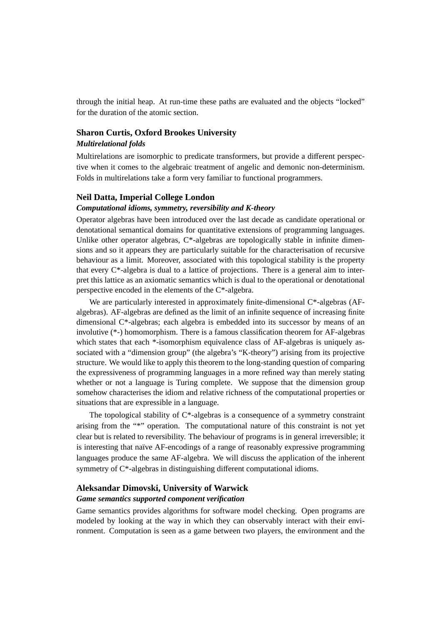through the initial heap. At run-time these paths are evaluated and the objects "locked" for the duration of the atomic section.

## **Sharon Curtis, Oxford Brookes University**

#### *Multirelational folds*

Multirelations are isomorphic to predicate transformers, but provide a different perspective when it comes to the algebraic treatment of angelic and demonic non-determinism. Folds in multirelations take a form very familiar to functional programmers.

#### **Neil Datta, Imperial College London**

#### *Computational idioms, symmetry, reversibility and K-theory*

Operator algebras have been introduced over the last decade as candidate operational or denotational semantical domains for quantitative extensions of programming languages. Unlike other operator algebras, C<sup>\*</sup>-algebras are topologically stable in infinite dimensions and so it appears they are particularly suitable for the characterisation of recursive behaviour as a limit. Moreover, associated with this topological stability is the property that every C\*-algebra is dual to a lattice of projections. There is a general aim to interpret this lattice as an axiomatic semantics which is dual to the operational or denotational perspective encoded in the elements of the C\*-algebra.

We are particularly interested in approximately finite-dimensional C\*-algebras (AFalgebras). AF-algebras are defined as the limit of an infinite sequence of increasing finite dimensional C\*-algebras; each algebra is embedded into its successor by means of an involutive (\*-) homomorphism. There is a famous classification theorem for AF-algebras which states that each \*-isomorphism equivalence class of AF-algebras is uniquely associated with a "dimension group" (the algebra's "K-theory") arising from its projective structure. We would like to apply this theorem to the long-standing question of comparing the expressiveness of programming languages in a more refined way than merely stating whether or not a language is Turing complete. We suppose that the dimension group somehow characterises the idiom and relative richness of the computational properties or situations that are expressible in a language.

The topological stability of  $C^*$ -algebras is a consequence of a symmetry constraint arising from the "\*" operation. The computational nature of this constraint is not yet clear but is related to reversibility. The behaviour of programs is in general irreversible; it is interesting that naïve AF-encodings of a range of reasonably expressive programming languages produce the same AF-algebra. We will discuss the application of the inherent symmetry of C\*-algebras in distinguishing different computational idioms.

#### **Aleksandar Dimovski, University of Warwick**

#### *Game semantics supported component verification*

Game semantics provides algorithms for software model checking. Open programs are modeled by looking at the way in which they can observably interact with their environment. Computation is seen as a game between two players, the environment and the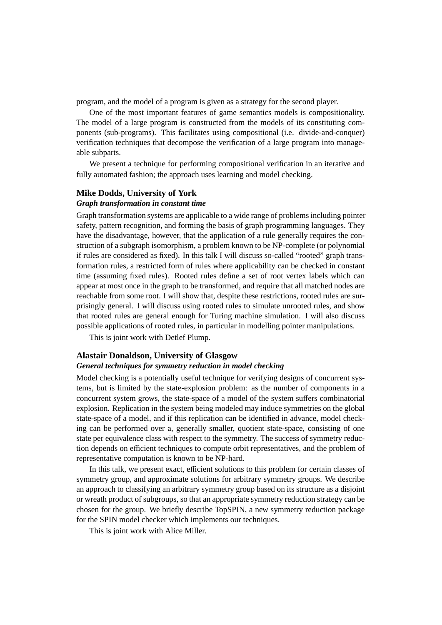program, and the model of a program is given as a strategy for the second player.

One of the most important features of game semantics models is compositionality. The model of a large program is constructed from the models of its constituting components (sub-programs). This facilitates using compositional (i.e. divide-and-conquer) verification techniques that decompose the verification of a large program into manageable subparts.

We present a technique for performing compositional verification in an iterative and fully automated fashion; the approach uses learning and model checking.

#### **Mike Dodds, University of York** *Graph transformation in constant time*

Graph transformation systems are applicable to a wide range of problems including pointer safety, pattern recognition, and forming the basis of graph programming languages. They have the disadvantage, however, that the application of a rule generally requires the construction of a subgraph isomorphism, a problem known to be NP-complete (or polynomial if rules are considered as fixed). In this talk I will discuss so-called "rooted" graph transformation rules, a restricted form of rules where applicability can be checked in constant time (assuming fixed rules). Rooted rules define a set of root vertex labels which can appear at most once in the graph to be transformed, and require that all matched nodes are reachable from some root. I will show that, despite these restrictions, rooted rules are surprisingly general. I will discuss using rooted rules to simulate unrooted rules, and show that rooted rules are general enough for Turing machine simulation. I will also discuss possible applications of rooted rules, in particular in modelling pointer manipulations.

This is joint work with Detlef Plump.

#### **Alastair Donaldson, University of Glasgow**

#### *General techniques for symmetry reduction in model checking*

Model checking is a potentially useful technique for verifying designs of concurrent systems, but is limited by the state-explosion problem: as the number of components in a concurrent system grows, the state-space of a model of the system suffers combinatorial explosion. Replication in the system being modeled may induce symmetries on the global state-space of a model, and if this replication can be identified in advance, model checking can be performed over a, generally smaller, quotient state-space, consisting of one state per equivalence class with respect to the symmetry. The success of symmetry reduction depends on efficient techniques to compute orbit representatives, and the problem of representative computation is known to be NP-hard.

In this talk, we present exact, efficient solutions to this problem for certain classes of symmetry group, and approximate solutions for arbitrary symmetry groups. We describe an approach to classifying an arbitrary symmetry group based on its structure as a disjoint or wreath product of subgroups, so that an appropriate symmetry reduction strategy can be chosen for the group. We briefly describe TopSPIN, a new symmetry reduction package for the SPIN model checker which implements our techniques.

This is joint work with Alice Miller.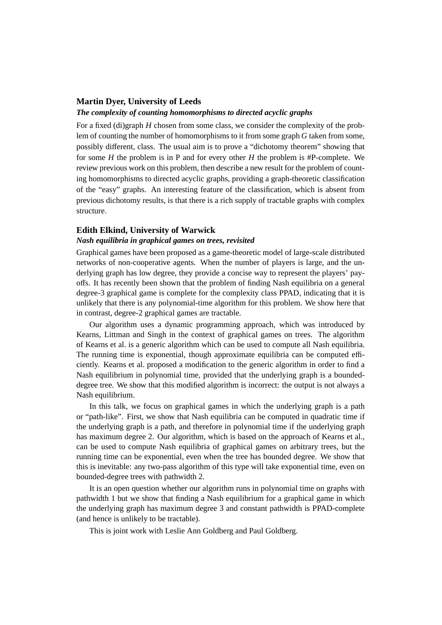## **Martin Dyer, University of Leeds**

#### *The complexity of counting homomorphisms to directed acyclic graphs*

For a fixed (di)graph *H* chosen from some class, we consider the complexity of the problem of counting the number of homomorphisms to it from some graph *G* taken from some, possibly different, class. The usual aim is to prove a "dichotomy theorem" showing that for some *H* the problem is in P and for every other *H* the problem is #P-complete. We review previous work on this problem, then describe a new result for the problem of counting homomorphisms to directed acyclic graphs, providing a graph-theoretic classification of the "easy" graphs. An interesting feature of the classification, which is absent from previous dichotomy results, is that there is a rich supply of tractable graphs with complex structure.

#### **Edith Elkind, University of Warwick**

#### *Nash equilibria in graphical games on trees, revisited*

Graphical games have been proposed as a game-theoretic model of large-scale distributed networks of non-cooperative agents. When the number of players is large, and the underlying graph has low degree, they provide a concise way to represent the players' payoffs. It has recently been shown that the problem of finding Nash equilibria on a general degree-3 graphical game is complete for the complexity class PPAD, indicating that it is unlikely that there is any polynomial-time algorithm for this problem. We show here that in contrast, degree-2 graphical games are tractable.

Our algorithm uses a dynamic programming approach, which was introduced by Kearns, Littman and Singh in the context of graphical games on trees. The algorithm of Kearns et al. is a generic algorithm which can be used to compute all Nash equilibria. The running time is exponential, though approximate equilibria can be computed efficiently. Kearns et al. proposed a modification to the generic algorithm in order to find a Nash equilibrium in polynomial time, provided that the underlying graph is a boundeddegree tree. We show that this modified algorithm is incorrect: the output is not always a Nash equilibrium.

In this talk, we focus on graphical games in which the underlying graph is a path or "path-like". First, we show that Nash equilibria can be computed in quadratic time if the underlying graph is a path, and therefore in polynomial time if the underlying graph has maximum degree 2. Our algorithm, which is based on the approach of Kearns et al., can be used to compute Nash equilibria of graphical games on arbitrary trees, but the running time can be exponential, even when the tree has bounded degree. We show that this is inevitable: any two-pass algorithm of this type will take exponential time, even on bounded-degree trees with pathwidth 2.

It is an open question whether our algorithm runs in polynomial time on graphs with pathwidth 1 but we show that finding a Nash equilibrium for a graphical game in which the underlying graph has maximum degree 3 and constant pathwidth is PPAD-complete (and hence is unlikely to be tractable).

This is joint work with Leslie Ann Goldberg and Paul Goldberg.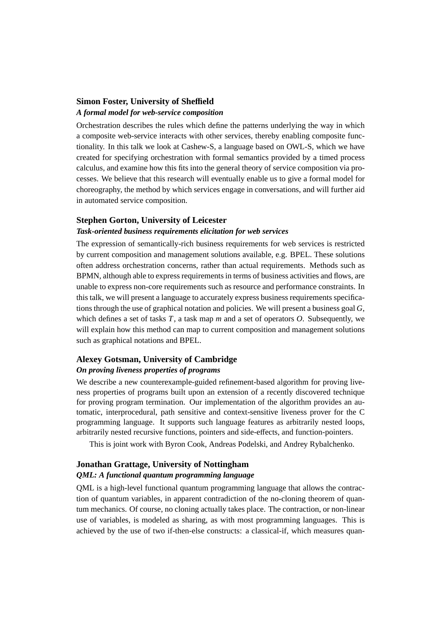## **Simon Foster, University of Sheffield** *A formal model for web-service composition*

Orchestration describes the rules which define the patterns underlying the way in which a composite web-service interacts with other services, thereby enabling composite functionality. In this talk we look at Cashew-S, a language based on OWL-S, which we have created for specifying orchestration with formal semantics provided by a timed process calculus, and examine how this fits into the general theory of service composition via processes. We believe that this research will eventually enable us to give a formal model for choreography, the method by which services engage in conversations, and will further aid in automated service composition.

#### **Stephen Gorton, University of Leicester**

#### *Task-oriented business requirements elicitation for web services*

The expression of semantically-rich business requirements for web services is restricted by current composition and management solutions available, e.g. BPEL. These solutions often address orchestration concerns, rather than actual requirements. Methods such as BPMN, although able to express requirements in terms of business activities and flows, are unable to express non-core requirements such as resource and performance constraints. In this talk, we will present a language to accurately express business requirements specifications through the use of graphical notation and policies. We will present a business goal *G*, which defines a set of tasks *T*, a task map *m* and a set of operators *O*. Subsequently, we will explain how this method can map to current composition and management solutions such as graphical notations and BPEL.

#### **Alexey Gotsman, University of Cambridge** *On proving liveness properties of programs*

## We describe a new counterexample-guided refinement-based algorithm for proving liveness properties of programs built upon an extension of a recently discovered technique for proving program termination. Our implementation of the algorithm provides an automatic, interprocedural, path sensitive and context-sensitive liveness prover for the C programming language. It supports such language features as arbitrarily nested loops, arbitrarily nested recursive functions, pointers and side-effects, and function-pointers.

This is joint work with Byron Cook, Andreas Podelski, and Andrey Rybalchenko.

#### **Jonathan Grattage, University of Nottingham**

## *QML: A functional quantum programming language*

QML is a high-level functional quantum programming language that allows the contraction of quantum variables, in apparent contradiction of the no-cloning theorem of quantum mechanics. Of course, no cloning actually takes place. The contraction, or non-linear use of variables, is modeled as sharing, as with most programming languages. This is achieved by the use of two if-then-else constructs: a classical-if, which measures quan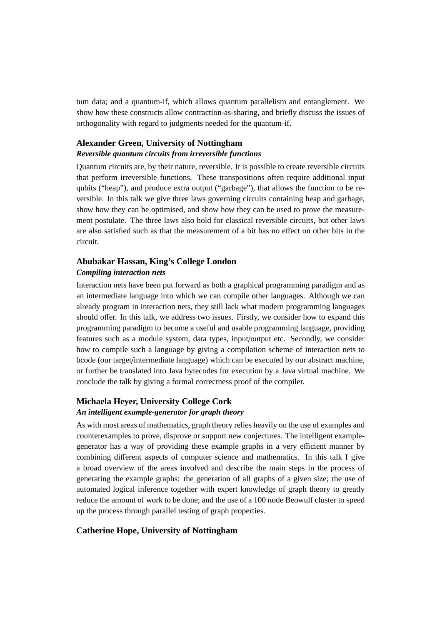tum data; and a quantum-if, which allows quantum parallelism and entanglement. We show how these constructs allow contraction-as-sharing, and briefly discuss the issues of orthogonality with regard to judgments needed for the quantum-if.

## **Alexander Green, University of Nottingham**

## *Reversible quantum circuits from irreversible functions*

Quantum circuits are, by their nature, reversible. It is possible to create reversible circuits that perform irreversible functions. These transpositions often require additional input qubits ("heap"), and produce extra output ("garbage"), that allows the function to be reversible. In this talk we give three laws governing circuits containing heap and garbage, show how they can be optimised, and show how they can be used to prove the measurement postulate. The three laws also hold for classical reversible circuits, but other laws are also satisfied such as that the measurement of a bit has no effect on other bits in the circuit.

## **Abubakar Hassan, King's College London** *Compiling interaction nets*

Interaction nets have been put forward as both a graphical programming paradigm and as an intermediate language into which we can compile other languages. Although we can already program in interaction nets, they still lack what modern programming languages should offer. In this talk, we address two issues. Firstly, we consider how to expand this programming paradigm to become a useful and usable programming language, providing features such as a module system, data types, input/output etc. Secondly, we consider how to compile such a language by giving a compilation scheme of interaction nets to bcode (our target/intermediate language) which can be executed by our abstract machine, or further be translated into Java bytecodes for execution by a Java virtual machine. We conclude the talk by giving a formal correctness proof of the compiler.

## **Michaela Heyer, University College Cork** *An intelligent example-generator for graph theory*

As with most areas of mathematics, graph theory relies heavily on the use of examples and counterexamples to prove, disprove or support new conjectures. The intelligent examplegenerator has a way of providing these example graphs in a very efficient manner by combining different aspects of computer science and mathematics. In this talk I give a broad overview of the areas involved and describe the main steps in the process of generating the example graphs: the generation of all graphs of a given size; the use of automated logical inference together with expert knowledge of graph theory to greatly reduce the amount of work to be done; and the use of a 100 node Beowulf cluster to speed up the process through parallel testing of graph properties.

## **Catherine Hope, University of Nottingham**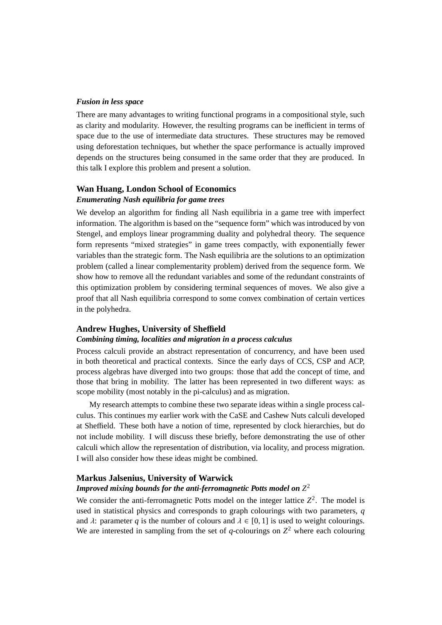#### *Fusion in less space*

There are many advantages to writing functional programs in a compositional style, such as clarity and modularity. However, the resulting programs can be inefficient in terms of space due to the use of intermediate data structures. These structures may be removed using deforestation techniques, but whether the space performance is actually improved depends on the structures being consumed in the same order that they are produced. In this talk I explore this problem and present a solution.

## **Wan Huang, London School of Economics** *Enumerating Nash equilibria for game trees*

We develop an algorithm for finding all Nash equilibria in a game tree with imperfect information. The algorithm is based on the "sequence form" which was introduced by von Stengel, and employs linear programming duality and polyhedral theory. The sequence form represents "mixed strategies" in game trees compactly, with exponentially fewer variables than the strategic form. The Nash equilibria are the solutions to an optimization problem (called a linear complementarity problem) derived from the sequence form. We show how to remove all the redundant variables and some of the redundant constraints of this optimization problem by considering terminal sequences of moves. We also give a proof that all Nash equilibria correspond to some convex combination of certain vertices in the polyhedra.

#### **Andrew Hughes, University of She**ffi**eld**

#### *Combining timing, localities and migration in a process calculus*

Process calculi provide an abstract representation of concurrency, and have been used in both theoretical and practical contexts. Since the early days of CCS, CSP and ACP, process algebras have diverged into two groups: those that add the concept of time, and those that bring in mobility. The latter has been represented in two different ways: as scope mobility (most notably in the pi-calculus) and as migration.

My research attempts to combine these two separate ideas within a single process calculus. This continues my earlier work with the CaSE and Cashew Nuts calculi developed at Sheffield. These both have a notion of time, represented by clock hierarchies, but do not include mobility. I will discuss these briefly, before demonstrating the use of other calculi which allow the representation of distribution, via locality, and process migration. I will also consider how these ideas might be combined.

#### **Markus Jalsenius, University of Warwick**

## *Improved mixing bounds for the anti-ferromagnetic Potts model on Z* 2

We consider the anti-ferromagnetic Potts model on the integer lattice  $Z^2$ . The model is used in statistical physics and corresponds to graph colourings with two parameters, *q* and  $\lambda$ : parameter *q* is the number of colours and  $\lambda \in [0, 1]$  is used to weight colourings. We are interested in sampling from the set of  $q$ -colourings on  $Z^2$  where each colouring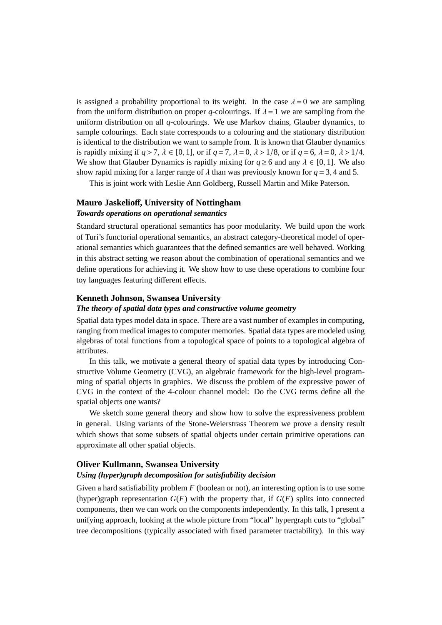is assigned a probability proportional to its weight. In the case  $\lambda = 0$  we are sampling from the uniform distribution on proper *q*-colourings. If  $\lambda = 1$  we are sampling from the uniform distribution on all *q*-colourings. We use Markov chains, Glauber dynamics, to sample colourings. Each state corresponds to a colouring and the stationary distribution is identical to the distribution we want to sample from. It is known that Glauber dynamics is rapidly mixing if  $q > 7$ ,  $\lambda \in [0, 1]$ , or if  $q = 7$ ,  $\lambda = 0$ ,  $\lambda > 1/8$ , or if  $q = 6$ ,  $\lambda = 0$ ,  $\lambda > 1/4$ . We show that Glauber Dynamics is rapidly mixing for  $q \ge 6$  and any  $\lambda \in [0, 1]$ . We also show rapid mixing for a larger range of  $\lambda$  than was previously known for  $q = 3, 4$  and 5.

This is joint work with Leslie Ann Goldberg, Russell Martin and Mike Paterson.

#### **Mauro Jaskelio**ff**, University of Nottingham**

#### *Towards operations on operational semantics*

Standard structural operational semantics has poor modularity. We build upon the work of Turi's functorial operational semantics, an abstract category-theoretical model of operational semantics which guarantees that the defined semantics are well behaved. Working in this abstract setting we reason about the combination of operational semantics and we define operations for achieving it. We show how to use these operations to combine four toy languages featuring different effects.

#### **Kenneth Johnson, Swansea University**

#### *The theory of spatial data types and constructive volume geometry*

Spatial data types model data in space. There are a vast number of examples in computing, ranging from medical images to computer memories. Spatial data types are modeled using algebras of total functions from a topological space of points to a topological algebra of attributes.

In this talk, we motivate a general theory of spatial data types by introducing Constructive Volume Geometry (CVG), an algebraic framework for the high-level programming of spatial objects in graphics. We discuss the problem of the expressive power of CVG in the context of the 4-colour channel model: Do the CVG terms define all the spatial objects one wants?

We sketch some general theory and show how to solve the expressiveness problem in general. Using variants of the Stone-Weierstrass Theorem we prove a density result which shows that some subsets of spatial objects under certain primitive operations can approximate all other spatial objects.

#### **Oliver Kullmann, Swansea University**

#### *Using (hyper)graph decomposition for satisfiability decision*

Given a hard satisfiability problem *F* (boolean or not), an interesting option is to use some (hyper)graph representation  $G(F)$  with the property that, if  $G(F)$  splits into connected components, then we can work on the components independently. In this talk, I present a unifying approach, looking at the whole picture from "local" hypergraph cuts to "global" tree decompositions (typically associated with fixed parameter tractability). In this way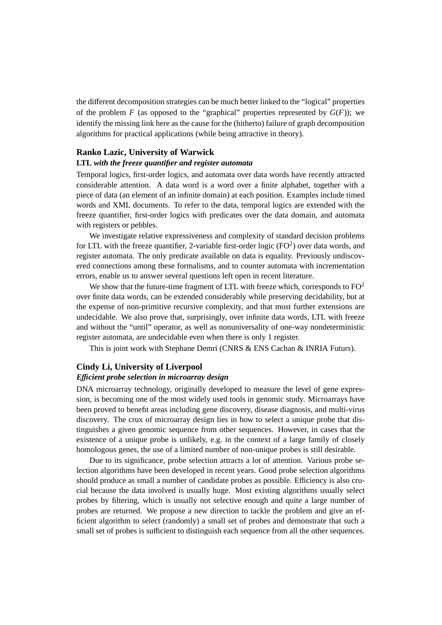the different decomposition strategies can be much better linked to the "logical" properties of the problem  $F$  (as opposed to the "graphical" properties represented by  $G(F)$ ); we identify the missing link here as the cause for the (hitherto) failure of graph decomposition algorithms for practical applications (while being attractive in theory).

## **Ranko Lazic, University of Warwick**

#### **LTL** *with the freeze quantifier and register automata*

Temporal logics, first-order logics, and automata over data words have recently attracted considerable attention. A data word is a word over a finite alphabet, together with a piece of data (an element of an infinite domain) at each position. Examples include timed words and XML documents. To refer to the data, temporal logics are extended with the freeze quantifier, first-order logics with predicates over the data domain, and automata with registers or pebbles.

We investigate relative expressiveness and complexity of standard decision problems for LTL with the freeze quantifier, 2-variable first-order logic (FO<sup>2</sup>) over data words, and register automata. The only predicate available on data is equality. Previously undiscovered connections among these formalisms, and to counter automata with incrementation errors, enable us to answer several questions left open in recent literature.

We show that the future-time fragment of LTL with freeze which, corresponds to  $FQ<sup>2</sup>$ over finite data words, can be extended considerably while preserving decidability, but at the expense of non-primitive recursive complexity, and that most further extensions are undecidable. We also prove that, surprisingly, over infinite data words, LTL with freeze and without the "until" operator, as well as nonuniversality of one-way nondeterministic register automata, are undecidable even when there is only 1 register.

This is joint work with Stephane Demri (CNRS & ENS Cachan & INRIA Futurs).

#### **Cindy Li, University of Liverpool**

## *E*ffi*cient probe selection in microarray design*

DNA microarray technology, originally developed to measure the level of gene expression, is becoming one of the most widely used tools in genomic study. Microarrays have been proved to benefit areas including gene discovery, disease diagnosis, and multi-virus discovery. The crux of microarray design lies in how to select a unique probe that distinguishes a given genomic sequence from other sequences. However, in cases that the existence of a unique probe is unlikely, e.g. in the context of a large family of closely homologous genes, the use of a limited number of non-unique probes is still desirable.

Due to its significance, probe selection attracts a lot of attention. Various probe selection algorithms have been developed in recent years. Good probe selection algorithms should produce as small a number of candidate probes as possible. Efficiency is also crucial because the data involved is usually huge. Most existing algorithms usually select probes by filtering, which is usually not selective enough and quite a large number of probes are returned. We propose a new direction to tackle the problem and give an efficient algorithm to select (randomly) a small set of probes and demonstrate that such a small set of probes is sufficient to distinguish each sequence from all the other sequences.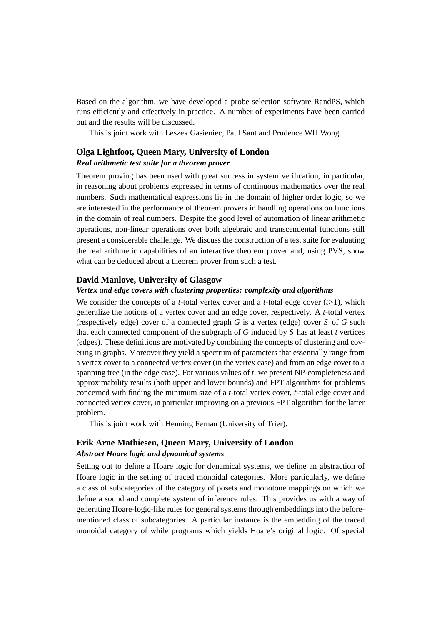Based on the algorithm, we have developed a probe selection software RandPS, which runs efficiently and effectively in practice. A number of experiments have been carried out and the results will be discussed.

This is joint work with Leszek Gasieniec, Paul Sant and Prudence WH Wong.

# **Olga Lightfoot, Queen Mary, University of London**

## *Real arithmetic test suite for a theorem prover*

Theorem proving has been used with great success in system verification, in particular, in reasoning about problems expressed in terms of continuous mathematics over the real numbers. Such mathematical expressions lie in the domain of higher order logic, so we are interested in the performance of theorem provers in handling operations on functions in the domain of real numbers. Despite the good level of automation of linear arithmetic operations, non-linear operations over both algebraic and transcendental functions still present a considerable challenge. We discuss the construction of a test suite for evaluating the real arithmetic capabilities of an interactive theorem prover and, using PVS, show what can be deduced about a theorem prover from such a test.

#### **David Manlove, University of Glasgow**

#### *Vertex and edge covers with clustering properties: complexity and algorithms*

We consider the concepts of a *t*-total vertex cover and a *t*-total edge cover ( $t \ge 1$ ), which generalize the notions of a vertex cover and an edge cover, respectively. A *t*-total vertex (respectively edge) cover of a connected graph *G* is a vertex (edge) cover *S* of *G* such that each connected component of the subgraph of *G* induced by *S* has at least *t* vertices (edges). These definitions are motivated by combining the concepts of clustering and covering in graphs. Moreover they yield a spectrum of parameters that essentially range from a vertex cover to a connected vertex cover (in the vertex case) and from an edge cover to a spanning tree (in the edge case). For various values of *t*, we present NP-completeness and approximability results (both upper and lower bounds) and FPT algorithms for problems concerned with finding the minimum size of a *t*-total vertex cover, *t*-total edge cover and connected vertex cover, in particular improving on a previous FPT algorithm for the latter problem.

This is joint work with Henning Fernau (University of Trier).

## **Erik Arne Mathiesen, Queen Mary, University of London** *Abstract Hoare logic and dynamical systems*

Setting out to define a Hoare logic for dynamical systems, we define an abstraction of Hoare logic in the setting of traced monoidal categories. More particularly, we define a class of subcategories of the category of posets and monotone mappings on which we define a sound and complete system of inference rules. This provides us with a way of generating Hoare-logic-like rules for general systems through embeddings into the beforementioned class of subcategories. A particular instance is the embedding of the traced monoidal category of while programs which yields Hoare's original logic. Of special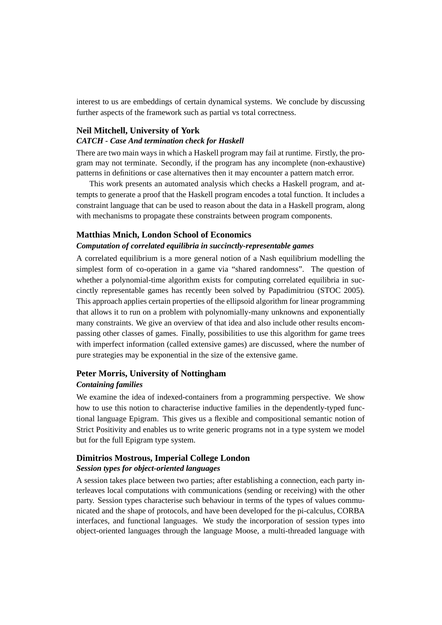interest to us are embeddings of certain dynamical systems. We conclude by discussing further aspects of the framework such as partial vs total correctness.

## **Neil Mitchell, University of York**

### *CATCH - Case And termination check for Haskell*

There are two main ways in which a Haskell program may fail at runtime. Firstly, the program may not terminate. Secondly, if the program has any incomplete (non-exhaustive) patterns in definitions or case alternatives then it may encounter a pattern match error.

This work presents an automated analysis which checks a Haskell program, and attempts to generate a proof that the Haskell program encodes a total function. It includes a constraint language that can be used to reason about the data in a Haskell program, along with mechanisms to propagate these constraints between program components.

#### **Matthias Mnich, London School of Economics**

#### *Computation of correlated equilibria in succinctly-representable games*

A correlated equilibrium is a more general notion of a Nash equilibrium modelling the simplest form of co-operation in a game via "shared randomness". The question of whether a polynomial-time algorithm exists for computing correlated equilibria in succinctly representable games has recently been solved by Papadimitriou (STOC 2005). This approach applies certain properties of the ellipsoid algorithm for linear programming that allows it to run on a problem with polynomially-many unknowns and exponentially many constraints. We give an overview of that idea and also include other results encompassing other classes of games. Finally, possibilities to use this algorithm for game trees with imperfect information (called extensive games) are discussed, where the number of pure strategies may be exponential in the size of the extensive game.

## **Peter Morris, University of Nottingham** *Containing families*

We examine the idea of indexed-containers from a programming perspective. We show how to use this notion to characterise inductive families in the dependently-typed functional language Epigram. This gives us a flexible and compositional semantic notion of Strict Positivity and enables us to write generic programs not in a type system we model but for the full Epigram type system.

## **Dimitrios Mostrous, Imperial College London** *Session types for object-oriented languages*

A session takes place between two parties; after establishing a connection, each party interleaves local computations with communications (sending or receiving) with the other party. Session types characterise such behaviour in terms of the types of values communicated and the shape of protocols, and have been developed for the pi-calculus, CORBA interfaces, and functional languages. We study the incorporation of session types into object-oriented languages through the language Moose, a multi-threaded language with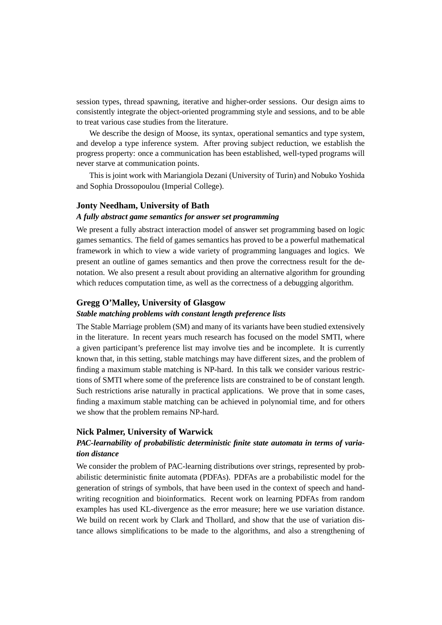session types, thread spawning, iterative and higher-order sessions. Our design aims to consistently integrate the object-oriented programming style and sessions, and to be able to treat various case studies from the literature.

We describe the design of Moose, its syntax, operational semantics and type system, and develop a type inference system. After proving subject reduction, we establish the progress property: once a communication has been established, well-typed programs will never starve at communication points.

This is joint work with Mariangiola Dezani (University of Turin) and Nobuko Yoshida and Sophia Drossopoulou (Imperial College).

#### **Jonty Needham, University of Bath**

#### *A fully abstract game semantics for answer set programming*

We present a fully abstract interaction model of answer set programming based on logic games semantics. The field of games semantics has proved to be a powerful mathematical framework in which to view a wide variety of programming languages and logics. We present an outline of games semantics and then prove the correctness result for the denotation. We also present a result about providing an alternative algorithm for grounding which reduces computation time, as well as the correctness of a debugging algorithm.

#### **Gregg O'Malley, University of Glasgow**

#### *Stable matching problems with constant length preference lists*

The Stable Marriage problem (SM) and many of its variants have been studied extensively in the literature. In recent years much research has focused on the model SMTI, where a given participant's preference list may involve ties and be incomplete. It is currently known that, in this setting, stable matchings may have different sizes, and the problem of finding a maximum stable matching is NP-hard. In this talk we consider various restrictions of SMTI where some of the preference lists are constrained to be of constant length. Such restrictions arise naturally in practical applications. We prove that in some cases, finding a maximum stable matching can be achieved in polynomial time, and for others we show that the problem remains NP-hard.

#### **Nick Palmer, University of Warwick**

## *PAC-learnability of probabilistic deterministic finite state automata in terms of variation distance*

We consider the problem of PAC-learning distributions over strings, represented by probabilistic deterministic finite automata (PDFAs). PDFAs are a probabilistic model for the generation of strings of symbols, that have been used in the context of speech and handwriting recognition and bioinformatics. Recent work on learning PDFAs from random examples has used KL-divergence as the error measure; here we use variation distance. We build on recent work by Clark and Thollard, and show that the use of variation distance allows simplifications to be made to the algorithms, and also a strengthening of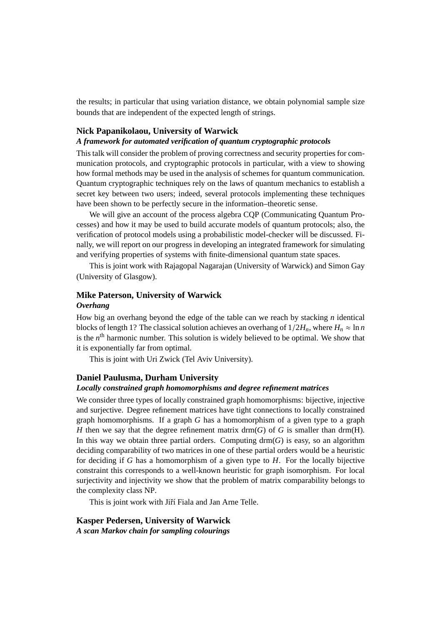the results; in particular that using variation distance, we obtain polynomial sample size bounds that are independent of the expected length of strings.

#### **Nick Papanikolaou, University of Warwick**

## *A framework for automated verification of quantum cryptographic protocols*

This talk will consider the problem of proving correctness and security properties for communication protocols, and cryptographic protocols in particular, with a view to showing how formal methods may be used in the analysis of schemes for quantum communication. Quantum cryptographic techniques rely on the laws of quantum mechanics to establish a secret key between two users; indeed, several protocols implementing these techniques have been shown to be perfectly secure in the information–theoretic sense.

We will give an account of the process algebra CQP (Communicating Quantum Processes) and how it may be used to build accurate models of quantum protocols; also, the verification of protocol models using a probabilistic model-checker will be discussed. Finally, we will report on our progress in developing an integrated framework for simulating and verifying properties of systems with finite-dimensional quantum state spaces.

This is joint work with Rajagopal Nagarajan (University of Warwick) and Simon Gay (University of Glasgow).

## **Mike Paterson, University of Warwick** *Overhang*

How big an overhang beyond the edge of the table can we reach by stacking *n* identical blocks of length 1? The classical solution achieves an overhang of  $1/2H_n$ , where  $H_n \approx \ln n$ is the *n*<sup>th</sup> harmonic number. This solution is widely believed to be optimal. We show that it is exponentially far from optimal.

This is joint with Uri Zwick (Tel Aviv University).

### **Daniel Paulusma, Durham University**

#### *Locally constrained graph homomorphisms and degree refinement matrices*

We consider three types of locally constrained graph homomorphisms: bijective, injective and surjective. Degree refinement matrices have tight connections to locally constrained graph homomorphisms. If a graph *G* has a homomorphism of a given type to a graph *H* then we say that the degree refinement matrix drm( $G$ ) of  $G$  is smaller than drm( $H$ ). In this way we obtain three partial orders. Computing  $\text{drm}(G)$  is easy, so an algorithm deciding comparability of two matrices in one of these partial orders would be a heuristic for deciding if *G* has a homomorphism of a given type to *H*. For the locally bijective constraint this corresponds to a well-known heuristic for graph isomorphism. For local surjectivity and injectivity we show that the problem of matrix comparability belongs to the complexity class NP.

This is joint work with Jiří Fiala and Jan Arne Telle.

**Kasper Pedersen, University of Warwick** *A scan Markov chain for sampling colourings*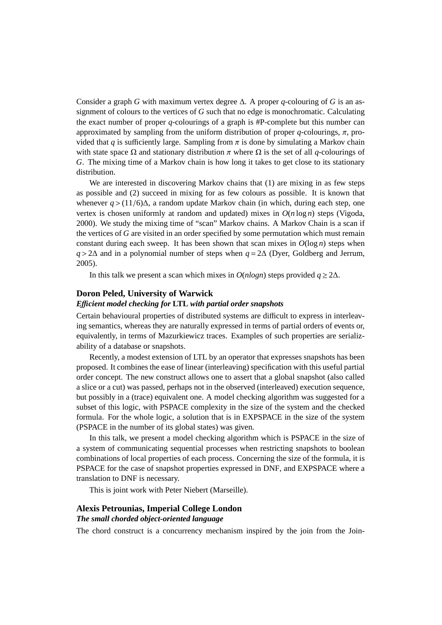Consider a graph *G* with maximum vertex degree  $\Delta$ . A proper *q*-colouring of *G* is an assignment of colours to the vertices of *G* such that no edge is monochromatic. Calculating the exact number of proper *q*-colourings of a graph is #P-complete but this number can approximated by sampling from the uniform distribution of proper  $q$ -colourings,  $\pi$ , provided that *q* is sufficiently large. Sampling from  $\pi$  is done by simulating a Markov chain with state space  $\Omega$  and stationary distribution  $\pi$  where  $\Omega$  is the set of all *q*-colourings of *G*. The mixing time of a Markov chain is how long it takes to get close to its stationary distribution.

We are interested in discovering Markov chains that (1) are mixing in as few steps as possible and (2) succeed in mixing for as few colours as possible. It is known that whenever  $q$  > (11/6) $\Delta$ , a random update Markov chain (in which, during each step, one vertex is chosen uniformly at random and updated) mixes in  $O(n \log n)$  steps (Vigoda, 2000). We study the mixing time of "scan" Markov chains. A Markov Chain is a scan if the vertices of *G* are visited in an order specified by some permutation which must remain constant during each sweep. It has been shown that scan mixes in  $O(\log n)$  steps when *<sup>q</sup>* > <sup>2</sup><sup>∆</sup> and in a polynomial number of steps when *<sup>q</sup>* <sup>=</sup> <sup>2</sup><sup>∆</sup> (Dyer, Goldberg and Jerrum, 2005).

In this talk we present a scan which mixes in  $O(n \log n)$  steps provided  $q \ge 2\Delta$ .

#### **Doron Peled, University of Warwick**

#### *E*ffi*cient model checking for* **LTL** *with partial order snapshots*

Certain behavioural properties of distributed systems are difficult to express in interleaving semantics, whereas they are naturally expressed in terms of partial orders of events or, equivalently, in terms of Mazurkiewicz traces. Examples of such properties are serializability of a database or snapshots.

Recently, a modest extension of LTL by an operator that expresses snapshots has been proposed. It combines the ease of linear (interleaving) specification with this useful partial order concept. The new construct allows one to assert that a global snapshot (also called a slice or a cut) was passed, perhaps not in the observed (interleaved) execution sequence, but possibly in a (trace) equivalent one. A model checking algorithm was suggested for a subset of this logic, with PSPACE complexity in the size of the system and the checked formula. For the whole logic, a solution that is in EXPSPACE in the size of the system (PSPACE in the number of its global states) was given.

In this talk, we present a model checking algorithm which is PSPACE in the size of a system of communicating sequential processes when restricting snapshots to boolean combinations of local properties of each process. Concerning the size of the formula, it is PSPACE for the case of snapshot properties expressed in DNF, and EXPSPACE where a translation to DNF is necessary.

This is joint work with Peter Niebert (Marseille).

## **Alexis Petrounias, Imperial College London** *The small chorded object-oriented language*

The chord construct is a concurrency mechanism inspired by the join from the Join-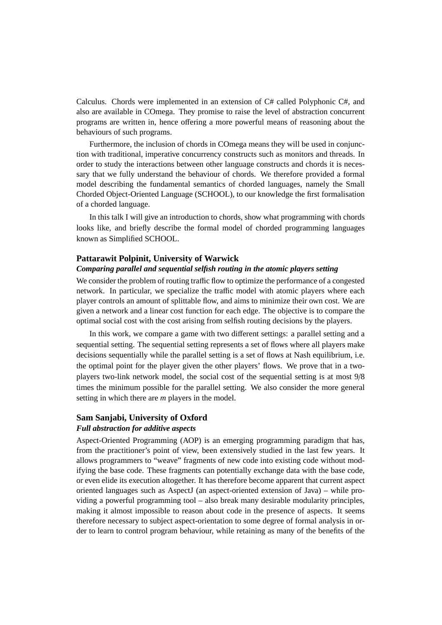Calculus. Chords were implemented in an extension of C# called Polyphonic C#, and also are available in COmega. They promise to raise the level of abstraction concurrent programs are written in, hence offering a more powerful means of reasoning about the behaviours of such programs.

Furthermore, the inclusion of chords in COmega means they will be used in conjunction with traditional, imperative concurrency constructs such as monitors and threads. In order to study the interactions between other language constructs and chords it is necessary that we fully understand the behaviour of chords. We therefore provided a formal model describing the fundamental semantics of chorded languages, namely the Small Chorded Object-Oriented Language (SCHOOL), to our knowledge the first formalisation of a chorded language.

In this talk I will give an introduction to chords, show what programming with chords looks like, and briefly describe the formal model of chorded programming languages known as Simplified SCHOOL.

#### **Pattarawit Polpinit, University of Warwick**

#### *Comparing parallel and sequential selfish routing in the atomic players setting*

We consider the problem of routing traffic flow to optimize the performance of a congested network. In particular, we specialize the traffic model with atomic players where each player controls an amount of splittable flow, and aims to minimize their own cost. We are given a network and a linear cost function for each edge. The objective is to compare the optimal social cost with the cost arising from selfish routing decisions by the players.

In this work, we compare a game with two different settings: a parallel setting and a sequential setting. The sequential setting represents a set of flows where all players make decisions sequentially while the parallel setting is a set of flows at Nash equilibrium, i.e. the optimal point for the player given the other players' flows. We prove that in a twoplayers two-link network model, the social cost of the sequential setting is at most 9/8 times the minimum possible for the parallel setting. We also consider the more general setting in which there are *m* players in the model.

## **Sam Sanjabi, University of Oxford**

## *Full abstraction for additive aspects*

Aspect-Oriented Programming (AOP) is an emerging programming paradigm that has, from the practitioner's point of view, been extensively studied in the last few years. It allows programmers to "weave" fragments of new code into existing code without modifying the base code. These fragments can potentially exchange data with the base code, or even elide its execution altogether. It has therefore become apparent that current aspect oriented languages such as AspectJ (an aspect-oriented extension of Java) – while providing a powerful programming tool – also break many desirable modularity principles, making it almost impossible to reason about code in the presence of aspects. It seems therefore necessary to subject aspect-orientation to some degree of formal analysis in order to learn to control program behaviour, while retaining as many of the benefits of the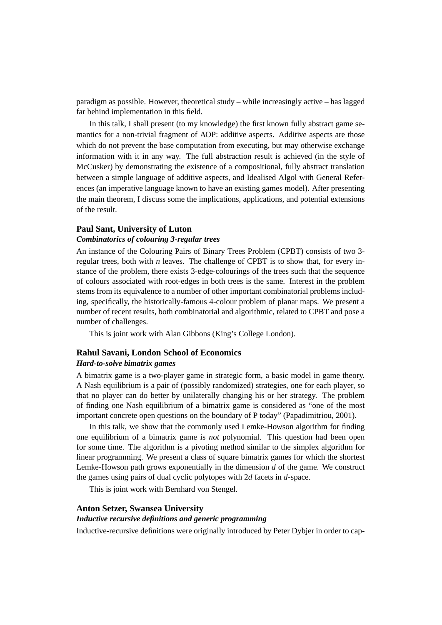paradigm as possible. However, theoretical study – while increasingly active – has lagged far behind implementation in this field.

In this talk, I shall present (to my knowledge) the first known fully abstract game semantics for a non-trivial fragment of AOP: additive aspects. Additive aspects are those which do not prevent the base computation from executing, but may otherwise exchange information with it in any way. The full abstraction result is achieved (in the style of McCusker) by demonstrating the existence of a compositional, fully abstract translation between a simple language of additive aspects, and Idealised Algol with General References (an imperative language known to have an existing games model). After presenting the main theorem, I discuss some the implications, applications, and potential extensions of the result.

#### **Paul Sant, University of Luton**

#### *Combinatorics of colouring 3-regular trees*

An instance of the Colouring Pairs of Binary Trees Problem (CPBT) consists of two 3 regular trees, both with *n* leaves. The challenge of CPBT is to show that, for every instance of the problem, there exists 3-edge-colourings of the trees such that the sequence of colours associated with root-edges in both trees is the same. Interest in the problem stems from its equivalence to a number of other important combinatorial problems including, specifically, the historically-famous 4-colour problem of planar maps. We present a number of recent results, both combinatorial and algorithmic, related to CPBT and pose a number of challenges.

This is joint work with Alan Gibbons (King's College London).

### **Rahul Savani, London School of Economics**

#### *Hard-to-solve bimatrix games*

A bimatrix game is a two-player game in strategic form, a basic model in game theory. A Nash equilibrium is a pair of (possibly randomized) strategies, one for each player, so that no player can do better by unilaterally changing his or her strategy. The problem of finding one Nash equilibrium of a bimatrix game is considered as "one of the most important concrete open questions on the boundary of P today" (Papadimitriou, 2001).

In this talk, we show that the commonly used Lemke-Howson algorithm for finding one equilibrium of a bimatrix game is *not* polynomial. This question had been open for some time. The algorithm is a pivoting method similar to the simplex algorithm for linear programming. We present a class of square bimatrix games for which the shortest Lemke-Howson path grows exponentially in the dimension *d* of the game. We construct the games using pairs of dual cyclic polytopes with 2*d* facets in *d*-space.

This is joint work with Bernhard von Stengel.

## **Anton Setzer, Swansea University**

#### *Inductive recursive definitions and generic programming*

Inductive-recursive definitions were originally introduced by Peter Dybjer in order to cap-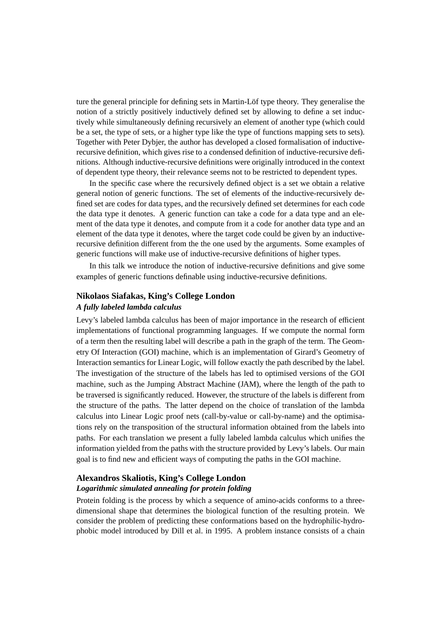ture the general principle for defining sets in Martin-Löf type theory. They generalise the notion of a strictly positively inductively defined set by allowing to define a set inductively while simultaneously defining recursively an element of another type (which could be a set, the type of sets, or a higher type like the type of functions mapping sets to sets). Together with Peter Dybjer, the author has developed a closed formalisation of inductiverecursive definition, which gives rise to a condensed definition of inductive-recursive definitions. Although inductive-recursive definitions were originally introduced in the context of dependent type theory, their relevance seems not to be restricted to dependent types.

In the specific case where the recursively defined object is a set we obtain a relative general notion of generic functions. The set of elements of the inductive-recursively defined set are codes for data types, and the recursively defined set determines for each code the data type it denotes. A generic function can take a code for a data type and an element of the data type it denotes, and compute from it a code for another data type and an element of the data type it denotes, where the target code could be given by an inductiverecursive definition different from the the one used by the arguments. Some examples of generic functions will make use of inductive-recursive definitions of higher types.

In this talk we introduce the notion of inductive-recursive definitions and give some examples of generic functions definable using inductive-recursive definitions.

## **Nikolaos Siafakas, King's College London**

#### *A fully labeled lambda calculus*

Levy's labeled lambda calculus has been of major importance in the research of efficient implementations of functional programming languages. If we compute the normal form of a term then the resulting label will describe a path in the graph of the term. The Geometry Of Interaction (GOI) machine, which is an implementation of Girard's Geometry of Interaction semantics for Linear Logic, will follow exactly the path described by the label. The investigation of the structure of the labels has led to optimised versions of the GOI machine, such as the Jumping Abstract Machine (JAM), where the length of the path to be traversed is significantly reduced. However, the structure of the labels is different from the structure of the paths. The latter depend on the choice of translation of the lambda calculus into Linear Logic proof nets (call-by-value or call-by-name) and the optimisations rely on the transposition of the structural information obtained from the labels into paths. For each translation we present a fully labeled lambda calculus which unifies the information yielded from the paths with the structure provided by Levy's labels. Our main goal is to find new and efficient ways of computing the paths in the GOI machine.

## **Alexandros Skaliotis, King's College London** *Logarithmic simulated annealing for protein folding*

Protein folding is the process by which a sequence of amino-acids conforms to a threedimensional shape that determines the biological function of the resulting protein. We consider the problem of predicting these conformations based on the hydrophilic-hydrophobic model introduced by Dill et al. in 1995. A problem instance consists of a chain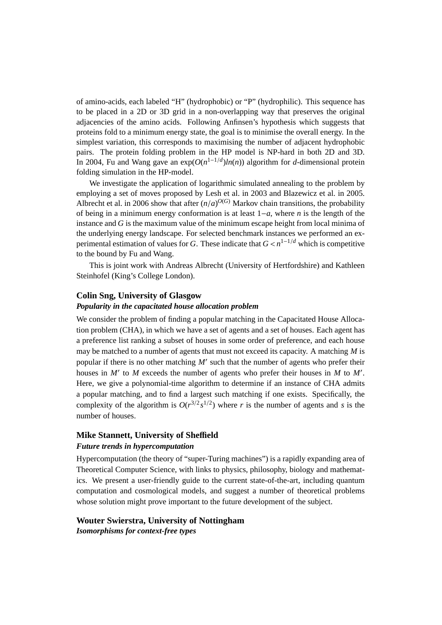of amino-acids, each labeled "H" (hydrophobic) or "P" (hydrophilic). This sequence has to be placed in a 2D or 3D grid in a non-overlapping way that preserves the original adjacencies of the amino acids. Following Anfinsen's hypothesis which suggests that proteins fold to a minimum energy state, the goal is to minimise the overall energy. In the simplest variation, this corresponds to maximising the number of adjacent hydrophobic pairs. The protein folding problem in the HP model is NP-hard in both 2D and 3D. In 2004, Fu and Wang gave an exp(*O*(*n* <sup>1</sup>−1/*<sup>d</sup>* )*ln*(*n*)) algorithm for *d*-dimensional protein folding simulation in the HP-model.

We investigate the application of logarithmic simulated annealing to the problem by employing a set of moves proposed by Lesh et al. in 2003 and Blazewicz et al. in 2005. Albrecht et al. in 2006 show that after  $(n/a)^{O(G)}$  Markov chain transitions, the probability of being in a minimum energy conformation is at least  $1-a$ , where *n* is the length of the of being in a minimum energy conformation is at least 1−*a*, where *n* is the length of the instance and *G* is the maximum value of the minimum escape height from local minima of the underlying energy landscape. For selected benchmark instances we performed an experimental estimation of values for *G*. These indicate that  $G < n^{1-1/d}$  which is competitive<br>to the bound by Fu and Wang to the bound by Fu and Wang.

This is joint work with Andreas Albrecht (University of Hertfordshire) and Kathleen Steinhofel (King's College London).

#### **Colin Sng, University of Glasgow**

#### *Popularity in the capacitated house allocation problem*

We consider the problem of finding a popular matching in the Capacitated House Allocation problem (CHA), in which we have a set of agents and a set of houses. Each agent has a preference list ranking a subset of houses in some order of preference, and each house may be matched to a number of agents that must not exceed its capacity. A matching *M* is popular if there is no other matching  $M'$  such that the number of agents who prefer their houses in  $M'$  to  $M$  exceeds the number of agents who prefer their houses in  $M$  to  $M'$ . Here, we give a polynomial-time algorithm to determine if an instance of CHA admits a popular matching, and to find a largest such matching if one exists. Specifically, the complexity of the algorithm is  $O(r^{3/2} s^{1/2})$  where *r* is the number of agents and *s* is the number of houses.

## **Mike Stannett, University of Sheffield** *Future trends in hypercomputation*

Hypercomputation (the theory of "super-Turing machines") is a rapidly expanding area of Theoretical Computer Science, with links to physics, philosophy, biology and mathematics. We present a user-friendly guide to the current state-of-the-art, including quantum computation and cosmological models, and suggest a number of theoretical problems whose solution might prove important to the future development of the subject.

## **Wouter Swierstra, University of Nottingham** *Isomorphisms for context-free types*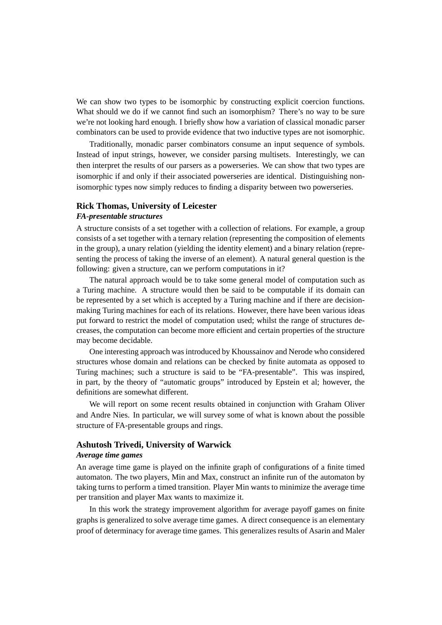We can show two types to be isomorphic by constructing explicit coercion functions. What should we do if we cannot find such an isomorphism? There's no way to be sure we're not looking hard enough. I briefly show how a variation of classical monadic parser combinators can be used to provide evidence that two inductive types are not isomorphic.

Traditionally, monadic parser combinators consume an input sequence of symbols. Instead of input strings, however, we consider parsing multisets. Interestingly, we can then interpret the results of our parsers as a powerseries. We can show that two types are isomorphic if and only if their associated powerseries are identical. Distinguishing nonisomorphic types now simply reduces to finding a disparity between two powerseries.

### **Rick Thomas, University of Leicester** *FA-presentable structures*

A structure consists of a set together with a collection of relations. For example, a group consists of a set together with a ternary relation (representing the composition of elements in the group), a unary relation (yielding the identity element) and a binary relation (representing the process of taking the inverse of an element). A natural general question is the following: given a structure, can we perform computations in it?

The natural approach would be to take some general model of computation such as a Turing machine. A structure would then be said to be computable if its domain can be represented by a set which is accepted by a Turing machine and if there are decisionmaking Turing machines for each of its relations. However, there have been various ideas put forward to restrict the model of computation used; whilst the range of structures decreases, the computation can become more efficient and certain properties of the structure may become decidable.

One interesting approach was introduced by Khoussainov and Nerode who considered structures whose domain and relations can be checked by finite automata as opposed to Turing machines; such a structure is said to be "FA-presentable". This was inspired, in part, by the theory of "automatic groups" introduced by Epstein et al; however, the definitions are somewhat different.

We will report on some recent results obtained in conjunction with Graham Oliver and Andre Nies. In particular, we will survey some of what is known about the possible structure of FA-presentable groups and rings.

## **Ashutosh Trivedi, University of Warwick**

#### *Average time games*

An average time game is played on the infinite graph of configurations of a finite timed automaton. The two players, Min and Max, construct an infinite run of the automaton by taking turns to perform a timed transition. Player Min wants to minimize the average time per transition and player Max wants to maximize it.

In this work the strategy improvement algorithm for average payoff games on finite graphs is generalized to solve average time games. A direct consequence is an elementary proof of determinacy for average time games. This generalizes results of Asarin and Maler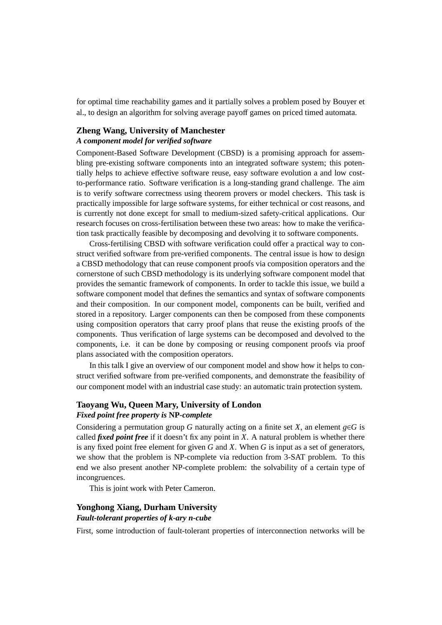for optimal time reachability games and it partially solves a problem posed by Bouyer et al., to design an algorithm for solving average payoff games on priced timed automata.

## **Zheng Wang, University of Manchester**

## *A component model for verified software*

Component-Based Software Development (CBSD) is a promising approach for assembling pre-existing software components into an integrated software system; this potentially helps to achieve effective software reuse, easy software evolution a and low costto-performance ratio. Software verification is a long-standing grand challenge. The aim is to verify software correctness using theorem provers or model checkers. This task is practically impossible for large software systems, for either technical or cost reasons, and is currently not done except for small to medium-sized safety-critical applications. Our research focuses on cross-fertilisation between these two areas: how to make the verification task practically feasible by decomposing and devolving it to software components.

Cross-fertilising CBSD with software verification could offer a practical way to construct verified software from pre-verified components. The central issue is how to design a CBSD methodology that can reuse component proofs via composition operators and the cornerstone of such CBSD methodology is its underlying software component model that provides the semantic framework of components. In order to tackle this issue, we build a software component model that defines the semantics and syntax of software components and their composition. In our component model, components can be built, verified and stored in a repository. Larger components can then be composed from these components using composition operators that carry proof plans that reuse the existing proofs of the components. Thus verification of large systems can be decomposed and devolved to the components, i.e. it can be done by composing or reusing component proofs via proof plans associated with the composition operators.

In this talk I give an overview of our component model and show how it helps to construct verified software from pre-verified components, and demonstrate the feasibility of our component model with an industrial case study: an automatic train protection system.

## **Taoyang Wu, Queen Mary, University of London** *Fixed point free property is* **NP***-complete*

Considering a permutation group *G* naturally acting on a finite set *X*, an element  $g \in G$  is called *fixed point free* if it doesn't fix any point in *X*. A natural problem is whether there is any fixed point free element for given *G* and *X*. When *G* is input as a set of generators, we show that the problem is NP-complete via reduction from 3-SAT problem. To this end we also present another NP-complete problem: the solvability of a certain type of incongruences.

This is joint work with Peter Cameron.

## **Yonghong Xiang, Durham University** *Fault-tolerant properties of k-ary n-cube*

First, some introduction of fault-tolerant properties of interconnection networks will be